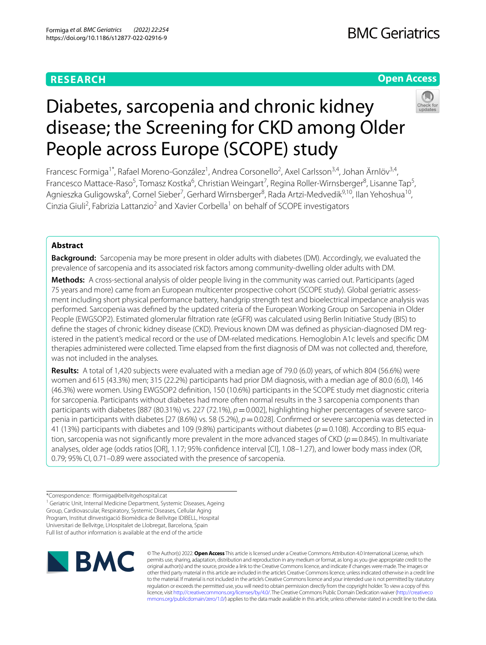## **RESEARCH**

## **Open Access**



# Diabetes, sarcopenia and chronic kidney disease; the Screening for CKD among Older People across Europe (SCOPE) study

Francesc Formiga<sup>1\*</sup>, Rafael Moreno-González<sup>1</sup>, Andrea Corsonello<sup>2</sup>, Axel Carlsson<sup>3,4</sup>, Johan Ärnlöv<sup>3,4</sup>, Francesco Mattace-Raso<sup>5</sup>, Tomasz Kostka<sup>6</sup>, Christian Weingart<sup>7</sup>, Regina Roller-Wirnsberger<sup>8</sup>, Lisanne Tap<sup>5</sup>, Agnieszka Guligowska<sup>6</sup>, Cornel Sieber<sup>7</sup>, Gerhard Wirnsberger<sup>8</sup>, Rada Artzi-Medvedik<sup>9,10</sup>, Ilan Yehoshua<sup>10</sup>, Cinzia Giuli<sup>2</sup>, Fabrizia Lattanzio<sup>2</sup> and Xavier Corbella<sup>1</sup> on behalf of SCOPE investigators

## **Abstract**

**Background:** Sarcopenia may be more present in older adults with diabetes (DM). Accordingly, we evaluated the prevalence of sarcopenia and its associated risk factors among community-dwelling older adults with DM.

**Methods:** A cross-sectional analysis of older people living in the community was carried out. Participants (aged 75 years and more) came from an European multicenter prospective cohort (SCOPE study). Global geriatric assess‑ ment including short physical performance battery, handgrip strength test and bioelectrical impedance analysis was performed. Sarcopenia was defned by the updated criteria of the European Working Group on Sarcopenia in Older People (EWGSOP2). Estimated glomerular fltration rate (eGFR) was calculated using Berlin Initiative Study (BIS) to define the stages of chronic kidney disease (CKD). Previous known DM was defined as physician-diagnosed DM registered in the patient's medical record or the use of DM-related medications. Hemoglobin A1c levels and specifc DM therapies administered were collected. Time elapsed from the frst diagnosis of DM was not collected and, therefore, was not included in the analyses.

**Results:** A total of 1,420 subjects were evaluated with a median age of 79.0 (6.0) years, of which 804 (56.6%) were women and 615 (43.3%) men; 315 (22.2%) participants had prior DM diagnosis, with a median age of 80.0 (6.0), 146 (46.3%) were women. Using EWGSOP2 defnition, 150 (10.6%) participants in the SCOPE study met diagnostic criteria for sarcopenia. Participants without diabetes had more often normal results in the 3 sarcopenia components than participants with diabetes [887 (80.31%) vs. 227 (72.1%),  $p=0.002$ ], highlighting higher percentages of severe sarcopenia in participants with diabetes [27 (8.6%) vs. 58 (5.2%),  $p=0.028$ ]. Confirmed or severe sarcopenia was detected in 41 (13%) participants with diabetes and 109 (9.8%) participants without diabetes (*p*=0.108). According to BIS equa‑ tion, sarcopenia was not significantly more prevalent in the more advanced stages of CKD ( $p=0.845$ ). In multivariate analyses, older age (odds ratios [OR], 1.17; 95% confdence interval [CI], 1.08–1.27), and lower body mass index (OR, 0.79; 95% CI, 0.71–0.89 were associated with the presence of sarcopenia.

<sup>\*</sup>Correspondence: formiga@bellvitgehospital.cat <sup>1</sup> Geriatric Unit, Internal Medicine Department, Systemic Diseases, Ageing Group, Cardiovascular, Respiratory, Systemic Diseases, Cellular Aging Program, Institut dInvestigació Biomèdica de Bellvitge IDIBELL, Hospital Universitari de Bellvitge, LHospitalet de Llobregat, Barcelona, Spain Full list of author information is available at the end of the article



© The Author(s) 2022. **Open Access** This article is licensed under a Creative Commons Attribution 4.0 International License, which permits use, sharing, adaptation, distribution and reproduction in any medium or format, as long as you give appropriate credit to the original author(s) and the source, provide a link to the Creative Commons licence, and indicate if changes were made. The images or other third party material in this article are included in the article's Creative Commons licence, unless indicated otherwise in a credit line to the material. If material is not included in the article's Creative Commons licence and your intended use is not permitted by statutory regulation or exceeds the permitted use, you will need to obtain permission directly from the copyright holder. To view a copy of this licence, visit [http://creativecommons.org/licenses/by/4.0/.](http://creativecommons.org/licenses/by/4.0/) The Creative Commons Public Domain Dedication waiver ([http://creativeco](http://creativecommons.org/publicdomain/zero/1.0/) [mmons.org/publicdomain/zero/1.0/](http://creativecommons.org/publicdomain/zero/1.0/)) applies to the data made available in this article, unless otherwise stated in a credit line to the data.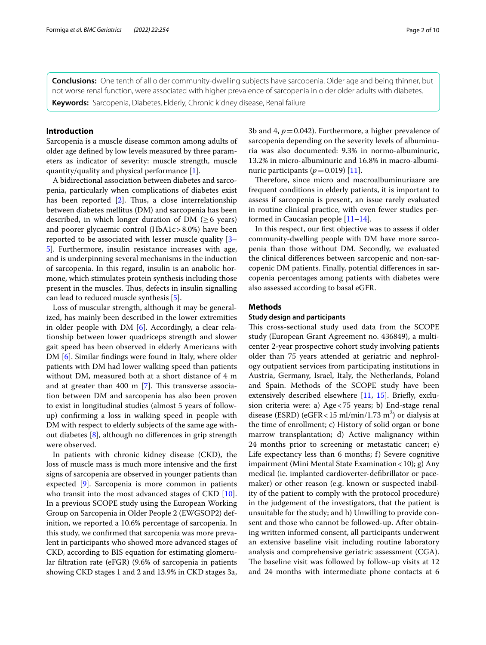**Conclusions:** One tenth of all older community-dwelling subjects have sarcopenia. Older age and being thinner, but not worse renal function, were associated with higher prevalence of sarcopenia in older older adults with diabetes. **Keywords:** Sarcopenia, Diabetes, Elderly, Chronic kidney disease, Renal failure

#### **Introduction**

Sarcopenia is a muscle disease common among adults of older age defned by low levels measured by three parameters as indicator of severity: muscle strength, muscle quantity/quality and physical performance [\[1](#page-9-0)].

A bidirectional association between diabetes and sarcopenia, particularly when complications of diabetes exist has been reported  $[2]$  $[2]$ . Thus, a close interrelationship between diabetes mellitus (DM) and sarcopenia has been described, in which longer duration of DM  $(>6$  years) and poorer glycaemic control (HbA1c>8.0%) have been reported to be associated with lesser muscle quality [[3–](#page-9-2) [5\]](#page-9-3). Furthermore, insulin resistance increases with age, and is underpinning several mechanisms in the induction of sarcopenia. In this regard, insulin is an anabolic hormone, which stimulates protein synthesis including those present in the muscles. Thus, defects in insulin signalling can lead to reduced muscle synthesis [\[5](#page-9-3)].

Loss of muscular strength, although it may be generalized, has mainly been described in the lower extremities in older people with DM [[6](#page-9-4)]. Accordingly, a clear relationship between lower quadriceps strength and slower gait speed has been observed in elderly Americans with DM [[6\]](#page-9-4). Similar fndings were found in Italy, where older patients with DM had lower walking speed than patients without DM, measured both at a short distance of 4 m and at greater than 400 m  $[7]$  $[7]$ . This transverse association between DM and sarcopenia has also been proven to exist in longitudinal studies (almost 5 years of followup) confrming a loss in walking speed in people with DM with respect to elderly subjects of the same age without diabetes [\[8\]](#page-9-6), although no diferences in grip strength were observed.

In patients with chronic kidney disease (CKD), the loss of muscle mass is much more intensive and the frst signs of sarcopenia are observed in younger patients than expected [\[9](#page-9-7)]. Sarcopenia is more common in patients who transit into the most advanced stages of CKD [\[10](#page-9-8)]. In a previous SCOPE study using the European Working Group on Sarcopenia in Older People 2 (EWGSOP2) definition, we reported a 10.6% percentage of sarcopenia. In this study, we confrmed that sarcopenia was more prevalent in participants who showed more advanced stages of CKD, according to BIS equation for estimating glomerular fltration rate (eFGR) (9.6% of sarcopenia in patients showing CKD stages 1 and 2 and 13.9% in CKD stages 3a, 3b and 4,  $p = 0.042$ ). Furthermore, a higher prevalence of sarcopenia depending on the severity levels of albuminuria was also documented: 9.3% in normo-albuminuric, 13.2% in micro-albuminuric and 16.8% in macro-albuminuric participants  $(p=0.019)$  [[11\]](#page-9-9).

Therefore, since micro and macroalbuminuriaare are frequent conditions in elderly patients, it is important to assess if sarcopenia is present, an issue rarely evaluated in routine clinical practice, with even fewer studies performed in Caucasian people [[11](#page-9-9)[–14](#page-9-10)].

In this respect, our frst objective was to assess if older community-dwelling people with DM have more sarcopenia than those without DM. Secondly, we evaluated the clinical diferences between sarcopenic and non-sarcopenic DM patients. Finally, potential diferences in sarcopenia percentages among patients with diabetes were also assessed according to basal eGFR.

#### **Methods**

#### **Study design and participants**

This cross-sectional study used data from the SCOPE study (European Grant Agreement no. 436849), a multicenter 2-year prospective cohort study involving patients older than 75 years attended at geriatric and nephrology outpatient services from participating institutions in Austria, Germany, Israel, Italy, the Netherlands, Poland and Spain. Methods of the SCOPE study have been extensively described elsewhere [\[11](#page-9-9), [15](#page-9-11)]. Briefly, exclusion criteria were: a) Age<75 years; b) End-stage renal disease (ESRD) (eGFR < 15 ml/min/1.73 m<sup>2</sup>) or dialysis at the time of enrollment; c) History of solid organ or bone marrow transplantation; d) Active malignancy within 24 months prior to screening or metastatic cancer; e) Life expectancy less than 6 months; f) Severe cognitive impairment (Mini Mental State Examination < 10); g) Any medical (ie. implanted cardioverter-defbrillator or pacemaker) or other reason (e.g. known or suspected inability of the patient to comply with the protocol procedure) in the judgement of the investigators, that the patient is unsuitable for the study; and h) Unwilling to provide consent and those who cannot be followed-up. After obtaining written informed consent, all participants underwent an extensive baseline visit including routine laboratory analysis and comprehensive geriatric assessment (CGA). The baseline visit was followed by follow-up visits at 12 and 24 months with intermediate phone contacts at 6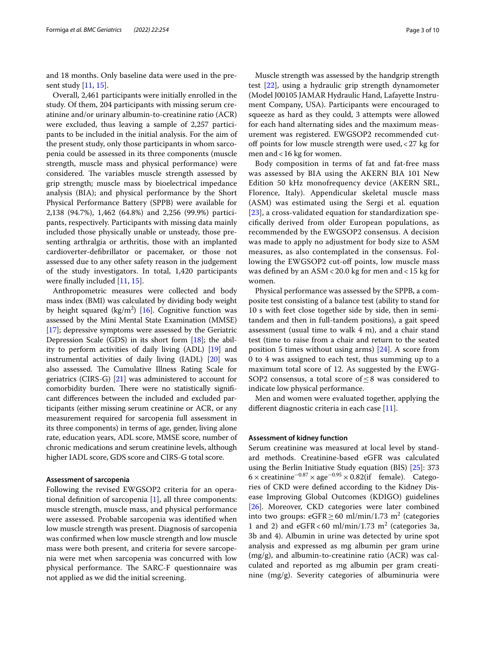and 18 months. Only baseline data were used in the present study [[11](#page-9-9), [15\]](#page-9-11).

Overall, 2,461 participants were initially enrolled in the study. Of them, 204 participants with missing serum creatinine and/or urinary albumin-to-creatinine ratio (ACR) were excluded, thus leaving a sample of 2,257 participants to be included in the initial analysis. For the aim of the present study, only those participants in whom sarcopenia could be assessed in its three components (muscle strength, muscle mass and physical performance) were considered. The variables muscle strength assessed by grip strength; muscle mass by bioelectrical impedance analysis (BIA); and physical performance by the Short Physical Performance Battery (SPPB) were available for 2,138 (94.7%), 1,462 (64.8%) and 2,256 (99.9%) participants, respectively. Participants with missing data mainly included those physically unable or unsteady, those presenting arthralgia or arthritis, those with an implanted cardioverter-defbrillator or pacemaker, or those not assessed due to any other safety reason in the judgement of the study investigators. In total, 1,420 participants were finally included [[11,](#page-9-9) [15\]](#page-9-11).

Anthropometric measures were collected and body mass index (BMI) was calculated by dividing body weight by height squared  $(kg/m^2)$  [\[16](#page-9-12)]. Cognitive function was assessed by the Mini Mental State Examination (MMSE) [[17](#page-9-13)]; depressive symptoms were assessed by the Geriatric Depression Scale (GDS) in its short form [\[18\]](#page-9-14); the ability to perform activities of daily living (ADL) [\[19\]](#page-9-15) and instrumental activities of daily living (IADL) [\[20\]](#page-9-16) was also assessed. The Cumulative Illness Rating Scale for geriatrics (CIRS-G) [\[21\]](#page-9-17) was administered to account for comorbidity burden. There were no statistically significant diferences between the included and excluded participants (either missing serum creatinine or ACR, or any measurement required for sarcopenia full assessment in its three components) in terms of age, gender, living alone rate, education years, ADL score, MMSE score, number of chronic medications and serum creatinine levels, although higher IADL score, GDS score and CIRS-G total score.

#### **Assessment of sarcopenia**

Following the revised EWGSOP2 criteria for an operational definition of sarcopenia  $[1]$  $[1]$ , all three components: muscle strength, muscle mass, and physical performance were assessed. Probable sarcopenia was identifed when low muscle strength was present. Diagnosis of sarcopenia was confrmed when low muscle strength and low muscle mass were both present, and criteria for severe sarcopenia were met when sarcopenia was concurred with low physical performance. The SARC-F questionnaire was not applied as we did the initial screening.

Muscle strength was assessed by the handgrip strength test [[22\]](#page-9-18), using a hydraulic grip strength dynamometer (Model J00105 JAMAR Hydraulic Hand, Lafayette Instrument Company, USA). Participants were encouraged to squeeze as hard as they could, 3 attempts were allowed for each hand alternating sides and the maximum measurement was registered. EWGSOP2 recommended cutoff points for low muscle strength were used,  $<$  27 kg for men and <16 kg for women.

Body composition in terms of fat and fat-free mass was assessed by BIA using the AKERN BIA 101 New Edition 50 kHz monofrequency device (AKERN SRL, Florence, Italy). Appendicular skeletal muscle mass (ASM) was estimated using the Sergi et al. equation [[23](#page-9-19)], a cross-validated equation for standardization specifcally derived from older European populations, as recommended by the EWGSOP2 consensus. A decision was made to apply no adjustment for body size to ASM measures, as also contemplated in the consensus. Following the EWGSOP2 cut-off points, low muscle mass was defned by an ASM< 20.0 kg for men and < 15 kg for women.

Physical performance was assessed by the SPPB, a composite test consisting of a balance test (ability to stand for 10 s with feet close together side by side, then in semitandem and then in full-tandem positions), a gait speed assessment (usual time to walk 4 m), and a chair stand test (time to raise from a chair and return to the seated position 5 times without using arms) [\[24](#page-9-20)]. A score from 0 to 4 was assigned to each test, thus summing up to a maximum total score of 12. As suggested by the EWG-SOP2 consensus, a total score of  $\leq$ 8 was considered to indicate low physical performance.

Men and women were evaluated together, applying the diferent diagnostic criteria in each case [\[11](#page-9-9)].

#### **Assessment of kidney function**

Serum creatinine was measured at local level by standard methods. Creatinine-based eGFR was calculated using the Berlin Initiative Study equation (BIS) [[25](#page-9-21)]: 373  $6 \times$  creatinine<sup>-0.87</sup>  $\times$  age<sup>-0.95</sup>  $\times$  0.82(if female). Categories of CKD were defned according to the Kidney Disease Improving Global Outcomes (KDIGO) guidelines [[26\]](#page-9-22). Moreover, CKD categories were later combined into two groups: eGFR $\geq$  60 ml/min/1.73 m<sup>2</sup> (categories 1 and 2) and  $eGFR < 60 \text{ ml/min}/1.73 \text{ m}^2$  (categories 3a, 3b and 4). Albumin in urine was detected by urine spot analysis and expressed as mg albumin per gram urine (mg/g), and albumin-to-creatinine ratio (ACR) was calculated and reported as mg albumin per gram creatinine (mg/g). Severity categories of albuminuria were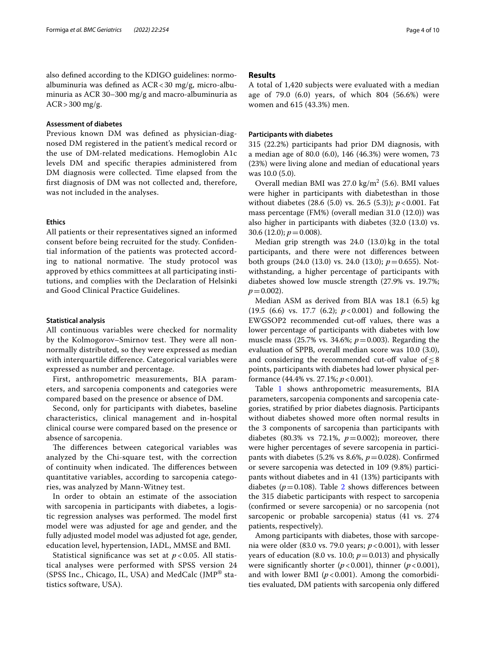also defned according to the KDIGO guidelines: normoalbuminuria was defned as ACR<30 mg/g, micro-albuminuria as ACR 30–300 mg/g and macro-albuminuria as  $ACR > 300$  mg/g.

#### **Assessment of diabetes**

Previous known DM was defned as physician-diagnosed DM registered in the patient's medical record or the use of DM-related medications. Hemoglobin A1c levels DM and specifc therapies administered from DM diagnosis were collected. Time elapsed from the frst diagnosis of DM was not collected and, therefore, was not included in the analyses.

#### **Ethics**

All patients or their representatives signed an informed consent before being recruited for the study. Confdential information of the patients was protected according to national normative. The study protocol was approved by ethics committees at all participating institutions, and complies with the Declaration of Helsinki and Good Clinical Practice Guidelines.

#### **Statistical analysis**

All continuous variables were checked for normality by the Kolmogorov–Smirnov test. They were all nonnormally distributed, so they were expressed as median with interquartile diference. Categorical variables were expressed as number and percentage.

First, anthropometric measurements, BIA parameters, and sarcopenia components and categories were compared based on the presence or absence of DM.

Second, only for participants with diabetes, baseline characteristics, clinical management and in-hospital clinical course were compared based on the presence or absence of sarcopenia.

The differences between categorical variables was analyzed by the Chi-square test, with the correction of continuity when indicated. The differences between quantitative variables, according to sarcopenia categories, was analyzed by Mann-Witney test.

In order to obtain an estimate of the association with sarcopenia in participants with diabetes, a logistic regression analyses was performed. The model first model were was adjusted for age and gender, and the fully adjusted model model was adjusted fot age, gender, education level, hypertension, IADL, MMSE and BMI.

Statistical signifcance was set at *p* < 0.05. All statistical analyses were performed with SPSS version 24 (SPSS Inc., Chicago, IL, USA) and MedCalc (JMP® statistics software, USA).

#### **Results**

A total of 1,420 subjects were evaluated with a median age of 79.0 (6.0) years, of which 804 (56.6%) were women and 615 (43.3%) men.

#### <span id="page-3-0"></span>**Participants with diabetes**

315 (22.2%) participants had prior DM diagnosis, with a median age of 80.0 (6.0), 146 (46.3%) were women, 73 (23%) were living alone and median of educational years was 10.0 (5.0).

Overall median BMI was  $27.0 \text{ kg/m}^2$  (5.6). BMI values were higher in participants with diabetesthan in those without diabetes (28.6 (5.0) vs. 26.5 (5.3)); *p*<0.001. Fat mass percentage (FM%) (overall median 31.0 (12.0)) was also higher in participants with diabetes (32.0 (13.0) vs. 30.6 (12.0);  $p = 0.008$ ).

Median grip strength was 24.0 (13.0) kg in the total participants, and there were not diferences between both groups (24.0 (13.0) vs. 24.0 (13.0); *p*=0.655). Notwithstanding, a higher percentage of participants with diabetes showed low muscle strength (27.9% vs. 19.7%;  $p = 0.002$ ).

Median ASM as derived from BIA was 18.1 (6.5) kg (19.5 (6.6) vs. 17.7 (6.2); *p*<0.001) and following the EWGSOP2 recommended cut-off values, there was a lower percentage of participants with diabetes with low muscle mass (25.7% vs. 34.6%; *p*=0.003). Regarding the evaluation of SPPB, overall median score was 10.0 (3.0), and considering the recommended cut-off value of  $\leq$  8 points, participants with diabetes had lower physical performance (44.4% vs. 27.1%; *p*<0.001).

Table [1](#page-4-0) shows anthropometric measurements, BIA parameters, sarcopenia components and sarcopenia categories, stratifed by prior diabetes diagnosis. Participants without diabetes showed more often normal results in the 3 components of sarcopenia than participants with diabetes (80.3% vs 72.1%,  $p=0.002$ ); moreover, there were higher percentages of severe sarcopenia in participants with diabetes (5.2% vs 8.6%,  $p = 0.028$ ). Confirmed or severe sarcopenia was detected in 109 (9.8%) participants without diabetes and in 41 (13%) participants with diabetes ( $p = 0.108$ ). Table [2](#page-5-0) shows differences between the 315 diabetic participants with respect to sarcopenia (confrmed or severe sarcopenia) or no sarcopenia (not sarcopenic or probable sarcopenia) status (41 vs. 274 patients, respectively).

Among participants with diabetes, those with sarcopenia were older (83.0 vs. 79.0 years; *p*<0.001), with lesser years of education (8.0 vs. 10.0;  $p = 0.013$ ) and physically were significantly shorter  $(p < 0.001)$ , thinner  $(p < 0.001)$ , and with lower BMI  $(p<0.001)$ . Among the comorbidities evaluated, DM patients with sarcopenia only difered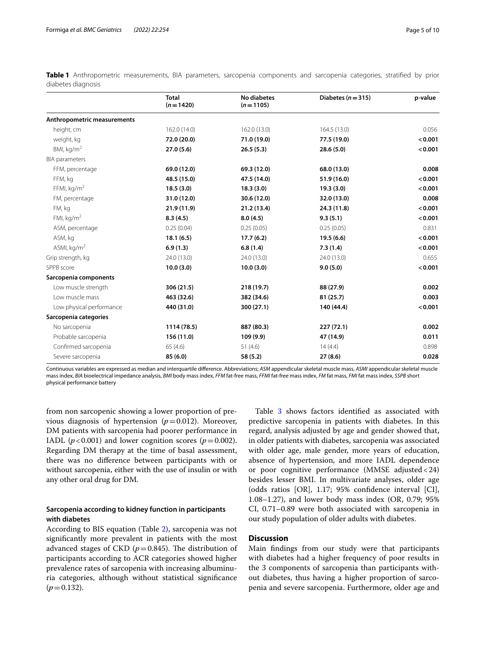|                             | <b>Total</b><br>$(n=1420)$ | <b>No diabetes</b><br>$(n=1105)$ | Diabetes ( $n = 315$ ) | p-value |
|-----------------------------|----------------------------|----------------------------------|------------------------|---------|
| Anthropometric measurements |                            |                                  |                        |         |
| height, cm                  | 162.0(14.0)                | 162.0 (13.0)                     | 164.5 (13.0)           | 0.056   |
| weight, kg                  | 72.0 (20.0)                | 71.0 (19.0)                      | 77.5 (19.0)            | < 0.001 |
| BMI, $\text{kg/m}^2$        | 27.0(5.6)                  | 26.5(5.3)                        | 28.6(5.0)              | < 0.001 |
| <b>BIA</b> parameters       |                            |                                  |                        |         |
| FFM, percentage             | 69.0 (12.0)                | 69.3 (12.0)                      | 68.0 (13.0)            | 0.008   |
| FFM, kg                     | 48.5 (15.0)                | 47.5 (14.0)                      | 51.9 (16.0)            | < 0.001 |
| FFMI, $kg/m2$               | 18.5(3.0)                  | 18.3(3.0)                        | 19.3(3.0)              | < 0.001 |
| FM, percentage              | 31.0 (12.0)                | 30.6 (12.0)                      | 32.0 (13.0)            | 0.008   |
| FM, kg                      | 21.9(11.9)                 | 21.2 (13.4)                      | 24.3 (11.8)            | < 0.001 |
| FMI, $kg/m2$                | 8.3(4.5)                   | 8.0(4.5)                         | 9.3(5.1)               | < 0.001 |
| ASM, percentage             | 0.25(0.04)                 | 0.25(0.05)                       | 0.25(0.05)             | 0.831   |
| ASM, kg                     | 18.1(6.5)                  | 17.7(6.2)                        | 19.5(6.6)              | < 0.001 |
| ASMI, $kg/m2$               | 6.9(1.3)                   | 6.8(1.4)                         | 7.3(1.4)               | < 0.001 |
| Grip strength, kg           | 24.0 (13.0)                | 24.0 (13.0)                      | 24.0 (13.0)            | 0.655   |
| SPPB score                  | 10.0(3.0)                  | 10.0(3.0)                        | 9.0(5.0)               | < 0.001 |
| Sarcopenia components       |                            |                                  |                        |         |
| Low muscle strength         | 306 (21.5)                 | 218 (19.7)                       | 88 (27.9)              | 0.002   |
| Low muscle mass             | 463 (32.6)                 | 382 (34.6)                       | 81 (25.7)              | 0.003   |
| Low physical performance    | 440 (31.0)                 | 300 (27.1)                       | 140 (44.4)             | < 0.001 |
| Sarcopenia categories       |                            |                                  |                        |         |
| No sarcopenia               | 1114 (78.5)                | 887 (80.3)                       | 227(72.1)              | 0.002   |
| Probable sarcopenia         | 156 (11.0)                 | 109 (9.9)                        | 47 (14.9)              | 0.011   |
| Confirmed sarcopenia        | 65(4.6)                    | 51 $(4.6)$                       | 14(4.4)                | 0.898   |
| Severe sarcopenia           | 85 (6.0)                   | 58 (5.2)                         | 27(8.6)                | 0.028   |

<span id="page-4-0"></span>**Table 1** Anthropometric measurements, BIA parameters, sarcopenia components and sarcopenia categories, stratifed by prior diabetes diagnosis

Continuous variables are expressed as median and interquartile diference. Abbreviations; *ASM* appendicular skeletal muscle mass, *ASMI* appendicular skeletal muscle mass index, *BIA* bioelectrical impedance analysis, *BMI* body mass index, *FFM* fat-free mass, *FFMI* fat-free mass index, *FM* fat mass, *FMI* fat mass index, *SSPB* short physical performance battery

from non sarcopenic showing a lower proportion of previous diagnosis of hypertension  $(p=0.012)$ . Moreover, DM patients with sarcopenia had poorer performance in IADL ( $p < 0.001$ ) and lower cognition scores ( $p = 0.002$ ). Regarding DM therapy at the time of basal assessment, there was no diference between participants with or without sarcopenia, either with the use of insulin or with any other oral drug for DM.

### **Sarcopenia according to kidney function in participants with diabetes**

According to BIS equation (Table [2](#page-5-0)), sarcopenia was not signifcantly more prevalent in patients with the most advanced stages of CKD  $(p=0.845)$ . The distribution of participants according to ACR categories showed higher prevalence rates of sarcopenia with increasing albuminuria categories, although without statistical signifcance  $(p=0.132)$ .

Table [3](#page-6-0) shows factors identified as associated with predictive sarcopenia in patients with diabetes. In this regard, analysis adjusted by age and gender showed that, in older patients with diabetes, sarcopenia was associated with older age, male gender, more years of education, absence of hypertension, and more IADL dependence or poor cognitive performance (MMSE adjusted<24) besides lesser BMI. In multivariate analyses, older age (odds ratios [OR], 1.17; 95% confdence interval [CI], 1.08–1.27), and lower body mass index (OR, 0.79; 95% CI, 0.71–0.89 were both associated with sarcopenia in our study population of older adults with diabetes.

## **Discussion**

Main fndings from our study were that participants with diabetes had a higher frequency of poor results in the 3 components of sarcopenia than participants without diabetes, thus having a higher proportion of sarcopenia and severe sarcopenia. Furthermore, older age and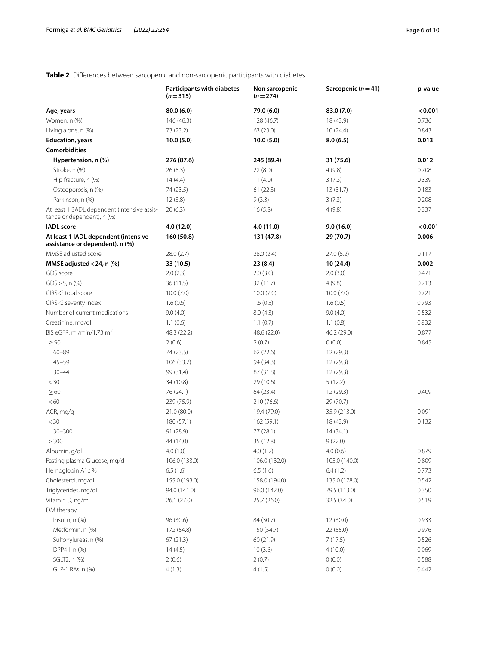## <span id="page-5-0"></span>**Table 2** Diferences between sarcopenic and non-sarcopenic participants with diabetes

|                                                                           | <b>Participants with diabetes</b><br>$(n=315)$ | Non sarcopenic<br>$(n=274)$ | Sarcopenic $(n=41)$ | p-value        |
|---------------------------------------------------------------------------|------------------------------------------------|-----------------------------|---------------------|----------------|
| Age, years                                                                | 80.0(6.0)                                      | 79.0 (6.0)                  | 83.0 (7.0)          | < 0.001        |
| Women, n (%)                                                              | 146 (46.3)                                     | 128 (46.7)                  | 18 (43.9)           | 0.736          |
| Living alone, n (%)                                                       | 73 (23.2)                                      | 63 (23.0)                   | 10(24.4)            | 0.843          |
| <b>Education, years</b>                                                   | 10.0(5.0)                                      | 10.0(5.0)                   | 8.0(6.5)            | 0.013          |
| <b>Comorbidities</b>                                                      |                                                |                             |                     |                |
| Hypertension, n (%)                                                       | 276 (87.6)                                     | 245 (89.4)                  | 31 (75.6)           | 0.012          |
| Stroke, n (%)                                                             | 26(8.3)                                        | 22(8.0)                     | 4(9.8)              | 0.708          |
| Hip fracture, n (%)                                                       | 14(4.4)                                        | 11(4.0)                     | 3(7.3)              | 0.339<br>0.183 |
| Osteoporosis, n (%)                                                       | 74 (23.5)                                      | 61(22.3)                    | 13(31.7)            |                |
| Parkinson, n (%)                                                          | 12(3.8)                                        | 9(3.3)                      | 3(7.3)              | 0.208          |
| At least 1 BADL dependent (intensive assis-<br>tance or dependent), n (%) | 20(6.3)                                        | 16(5.8)                     | 4(9.8)              | 0.337          |
| <b>IADL</b> score                                                         | 4.0 (12.0)                                     | 4.0 (11.0)                  | 9.0(16.0)           | < 0.001        |
| At least 1 IADL dependent (intensive<br>assistance or dependent), n (%)   | 160 (50.8)                                     | 131 (47.8)                  | 29 (70.7)           | 0.006          |
| MMSE adjusted score                                                       | 28.0(2.7)                                      | 28.0 (2.4)                  | 27.0(5.2)           | 0.117          |
| MMSE adjusted < 24, n (%)                                                 | 33 (10.5)                                      | 23 (8.4)                    | 10 (24.4)           | 0.002          |
| GDS score                                                                 | 2.0(2.3)                                       | 2.0(3.0)                    | 2.0(3.0)            | 0.471          |
| $GDS > 5$ , n $(\%)$                                                      | 36(11.5)                                       | 32 (11.7)                   | 4(9.8)              | 0.713          |
| CIRS-G total score                                                        | 10.0(7.0)                                      | 10.0(7.0)                   | 10.0(7.0)           | 0.721          |
| CIRS-G severity index                                                     | 1.6(0.6)                                       | 1.6(0.5)                    | 1.6(0.5)            | 0.793          |
| Number of current medications                                             | 9.0(4.0)                                       | 8.0(4.3)                    | 9.0(4.0)            | 0.532          |
| Creatinine, mg/dl                                                         | 1.1(0.6)                                       | 1.1(0.7)                    | 1.1(0.8)            | 0.832          |
| BIS eGFR, ml/min/1.73 $m2$                                                | 48.3 (22.2)                                    | 48.6 (22.0)                 | 46.2 (29.0)         | 0.877          |
| $\geq 90$                                                                 | 2(0.6)                                         | 2(0.7)                      | 0(0.0)              | 0.845          |
| $60 - 89$                                                                 | 74 (23.5)                                      | 62 (22.6)                   | 12(29.3)            |                |
| $45 - 59$                                                                 | 106 (33.7)                                     | 94 (34.3)                   | 12(29.3)            |                |
| $30 - 44$                                                                 | 99 (31.4)                                      | 87 (31.8)                   | 12 (29.3)           |                |
| $<$ 30                                                                    | 34 (10.8)                                      | 29 (10.6)                   | 5(12.2)             |                |
| $\geq 60$                                                                 | 76 (24.1)                                      | 64 (23.4)                   | 12 (29.3)           | 0.409          |
| <60                                                                       | 239 (75.9)                                     | 210 (76.6)                  | 29 (70.7)           |                |
| ACR, mg/g                                                                 | 21.0 (80.0)                                    | 19.4 (79.0)                 | 35.9 (213.0)        | 0.091          |
| $<$ 30                                                                    | 180(57.1)                                      | 162(59.1)                   | 18 (43.9)           | 0.132          |
| $30 - 300$                                                                | 91 (28.9)                                      | 77 (28.1)                   | 14 (34.1)           |                |
| > 300                                                                     | 44 (14.0)                                      | 35 (12.8)                   | 9(22.0)             |                |
| Albumin, g/dl                                                             | 4.0(1.0)                                       | 4.0(1.2)                    | 4.0(0.6)            | 0.879          |
| Fasting plasma Glucose, mg/dl                                             | 106.0 (133.0)                                  | 106.0 (132.0)               | 105.0 (140.0)       | 0.809          |
| Hemoglobin A1c %                                                          | 6.5(1.6)                                       | 6.5(1.6)                    | 6.4(1.2)            | 0.773          |
| Cholesterol, mg/dl                                                        | 155.0 (193.0)                                  | 158.0 (194.0)               | 135.0 (178.0)       | 0.542          |
| Triglycerides, mg/dl                                                      | 94.0 (141.0)                                   | 96.0 (142.0)                | 79.5 (113.0)        | 0.350          |
| Vitamin D, ng/mL                                                          | 26.1 (27.0)                                    | 25.7 (26.0)                 | 32.5 (34.0)         | 0.519          |
| DM therapy                                                                |                                                |                             |                     |                |
| Insulin, n (%)                                                            | 96 (30.6)                                      | 84 (30.7)                   | 12 (30.0)           | 0.933          |
| Metformin, n (%)                                                          | 172 (54.8)                                     | 150 (54.7)                  | 22 (55.0)           | 0.976          |
| Sulfonylureas, n (%)                                                      | 67(21.3)                                       | 60 (21.9)                   | 7(17.5)             | 0.526          |
| DPP4-I, n (%)                                                             | 14(4.5)                                        | 10(3.6)                     | 4(10.0)             | 0.069          |
| SGLT2, n (%)                                                              | 2(0.6)                                         | 2(0.7)                      | 0(0.0)              | 0.588          |
| GLP-1 RAs, n (%)                                                          | 4(1.3)                                         | 4(1.5)                      | 0(0.0)              | 0.442          |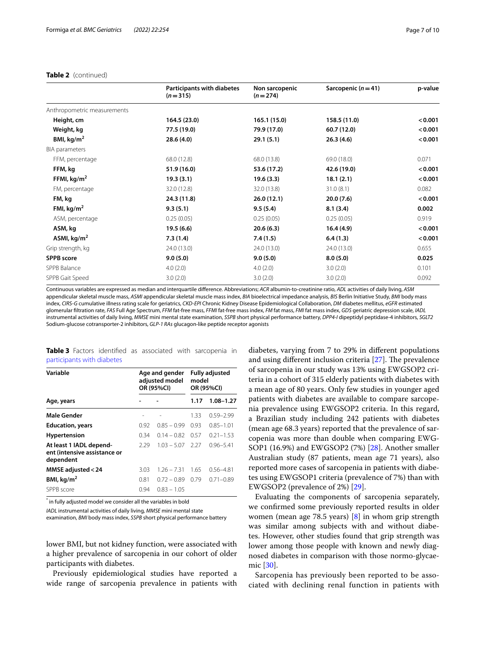#### **Table 2** (continued)

|                             | <b>Participants with diabetes</b><br>$(n=315)$ | Non sarcopenic<br>$(n=274)$ | Sarcopenic $(n=41)$ | p-value |
|-----------------------------|------------------------------------------------|-----------------------------|---------------------|---------|
| Anthropometric measurements |                                                |                             |                     |         |
| Height, cm                  | 164.5 (23.0)                                   | 165.1 (15.0)                | 158.5 (11.0)        | < 0.001 |
| Weight, kg                  | 77.5 (19.0)                                    | 79.9 (17.0)                 | 60.7 (12.0)         | < 0.001 |
| BMI, $kg/m2$                | 28.6(4.0)                                      | 29.1(5.1)                   | 26.3(4.6)           | < 0.001 |
| <b>BIA</b> parameters       |                                                |                             |                     |         |
| FFM, percentage             | 68.0 (12.8)                                    | 68.0 (13.8)                 | 69.0 (18.0)         | 0.071   |
| FFM, kg                     | 51.9 (16.0)                                    | 53.6 (17.2)                 | 42.6 (19.0)         | < 0.001 |
| FFMI, $kg/m2$               | 19.3(3.1)                                      | 19.6(3.3)                   | 18.1(2.1)           | < 0.001 |
| FM, percentage              | 32.0 (12.8)                                    | 32.0 (13.8)                 | 31.0(8.1)           | 0.082   |
| FM, kg                      | 24.3 (11.8)                                    | 26.0(12.1)                  | 20.0(7.6)           | < 0.001 |
| FMI, $kg/m2$                | 9.3(5.1)                                       | 9.5(5.4)                    | 8.1(3.4)            | 0.002   |
| ASM, percentage             | 0.25(0.05)                                     | 0.25(0.05)                  | 0.25(0.05)          | 0.919   |
| ASM, kg                     | 19.5(6.6)                                      | 20.6(6.3)                   | 16.4(4.9)           | < 0.001 |
| ASMI, $kg/m2$               | 7.3(1.4)                                       | 7.4(1.5)                    | 6.4(1.3)            | < 0.001 |
| Grip strength, kg           | 24.0 (13.0)                                    | 24.0 (13.0)                 | 24.0 (13.0)         | 0.655   |
| <b>SPPB</b> score           | 9.0(5.0)                                       | 9.0(5.0)                    | 8.0(5.0)            | 0.025   |
| SPPB Balance                | 4.0(2.0)                                       | 4.0(2.0)                    | 3.0(2.0)            | 0.101   |
| SPPB Gait Speed             | 3.0(2.0)                                       | 3.0(2.0)                    | 3.0(2.0)            | 0.092   |

Continuous variables are expressed as median and interquartile diference. Abbreviations; *ACR* albumin-to-creatinine ratio, *ADL* activities of daily living, *ASM* appendicular skeletal muscle mass, *ASMI* appendicular skeletal muscle mass index, *BIA* bioelectrical impedance analysis, *BIS* Berlin Initiative Study, *BMI* body mass index, *CIRS-G* cumulative illness rating scale for geriatrics, *CKD-EPI* Chronic Kidney Disease Epidemiological Collaboration, *DM* diabetes mellitus, *eGFR* estimated glomerular fltration rate, *FAS* Full Age Spectrum, *FFM* fat-free mass, *FFMI* fat-free mass index, *FM* fat mass, *FMI* fat mass index, *GDS* geriatric depression scale, *IADL* instrumental activities of daily living, *MMSE* mini mental state examination, *SSPB* short physical performance battery, *DPP4-I* dipeptidyl peptidase-4 inhibitors, *SGLT2* Sodium-glucose cotransporter-2 inhibitors, *GLP-1 RAs* glucagon-like peptide receptor agonists

<span id="page-6-0"></span>**Table 3** Factors identifed as associated with sarcopenia in [participants with diabetes](#page-3-0)

| Variable                                                             | Age and gender<br>adjusted model<br>OR (95%CI) |               | <b>Fully adjusted</b><br>model<br>OR (95%CI) |               |
|----------------------------------------------------------------------|------------------------------------------------|---------------|----------------------------------------------|---------------|
| Age, years                                                           |                                                |               | 1.17                                         | $1.08 - 1.27$ |
| <b>Male Gender</b>                                                   |                                                |               | 1.33                                         | $0.59 - 2.99$ |
| <b>Education, years</b>                                              | 0.92                                           | $0.85 - 0.99$ | 0.93                                         | $0.85 - 1.01$ |
| <b>Hypertension</b>                                                  | 0.34                                           | $0.14 - 0.82$ | 0.57                                         | $0.21 - 1.53$ |
| At least 1 IADL depend-<br>ent (intensive assistance or<br>dependent | 2.29                                           | $1.03 - 5.07$ | 227                                          | $0.96 - 5.41$ |
| MMSE adjusted < 24                                                   | 3.03                                           | $1.26 - 7.31$ | 1.65                                         | $0.56 - 4.81$ |
| BMI, $kg/m2$                                                         | 0.81                                           | $0.72 - 0.89$ | 0.79                                         | $0.71 - 0.89$ |
| SPPB score                                                           | 0.94                                           | $0.83 - 1.05$ |                                              |               |

 $^*$  in fully adjusted model we consider all the variables in bold

*IADL* instrumental activities of daily living, *MMSE* mini mental state

examination, *BMI* body mass index, *SSPB* short physical performance battery

lower BMI, but not kidney function, were associated with a higher prevalence of sarcopenia in our cohort of older participants with diabetes.

Previously epidemiological studies have reported a wide range of sarcopenia prevalence in patients with diabetes, varying from 7 to 29% in diferent populations and using different inclusion criteria  $[27]$ . The prevalence of sarcopenia in our study was 13% using EWGSOP2 criteria in a cohort of 315 elderly patients with diabetes with a mean age of 80 years. Only few studies in younger aged patients with diabetes are available to compare sarcopenia prevalence using EWGSOP2 criteria. In this regard, a Brazilian study including 242 patients with diabetes (mean age 68.3 years) reported that the prevalence of sarcopenia was more than double when comparing EWG-SOP1 (16.9%) and EWGSOP2 (7%) [[28\]](#page-9-24). Another smaller Australian study (87 patients, mean age 71 years), also reported more cases of sarcopenia in patients with diabetes using EWGSOP1 criteria (prevalence of 7%) than with EWGSOP2 (prevalence of 2%) [\[29](#page-9-25)].

Evaluating the components of sarcopenia separately, we confrmed some previously reported results in older women (mean age 78.5 years) [[8\]](#page-9-6) in whom grip strength was similar among subjects with and without diabetes. However, other studies found that grip strength was lower among those people with known and newly diagnosed diabetes in comparison with those normo-glycaemic [[30](#page-9-26)].

Sarcopenia has previously been reported to be associated with declining renal function in patients with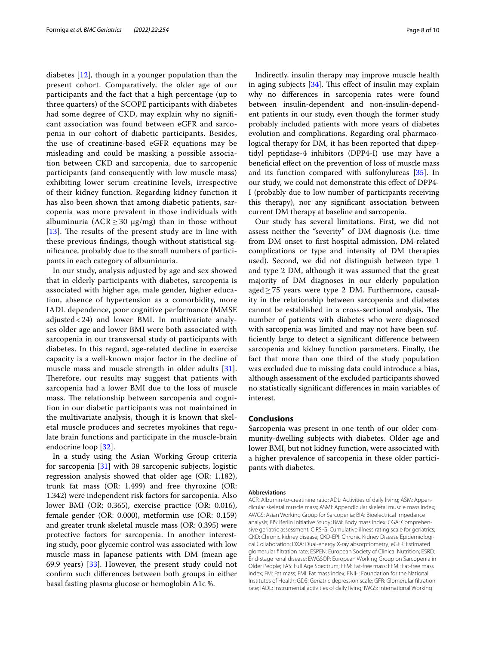diabetes [[12\]](#page-9-27), though in a younger population than the present cohort. Comparatively, the older age of our participants and the fact that a high percentage (up to three quarters) of the SCOPE participants with diabetes had some degree of CKD, may explain why no signifcant association was found between eGFR and sarcopenia in our cohort of diabetic participants. Besides, the use of creatinine-based eGFR equations may be misleading and could be masking a possible association between CKD and sarcopenia, due to sarcopenic participants (and consequently with low muscle mass) exhibiting lower serum creatinine levels, irrespective of their kidney function. Regarding kidney function it has also been shown that among diabetic patients, sarcopenia was more prevalent in those individuals with albuminuria ( $ACR \geq 30$   $\mu$ g/mg) than in those without  $[13]$  $[13]$  $[13]$ . The results of the present study are in line with these previous fndings, though without statistical signifcance, probably due to the small numbers of participants in each category of albuminuria.

In our study, analysis adjusted by age and sex showed that in elderly participants with diabetes, sarcopenia is associated with higher age, male gender, higher education, absence of hypertension as a comorbidity, more IADL dependence, poor cognitive performance (MMSE adjusted < 24) and lower BMI. In multivariate analyses older age and lower BMI were both associated with sarcopenia in our transversal study of participants with diabetes. In this regard, age-related decline in exercise capacity is a well-known major factor in the decline of muscle mass and muscle strength in older adults [[31](#page-9-29)]. Therefore, our results may suggest that patients with sarcopenia had a lower BMI due to the loss of muscle mass. The relationship between sarcopenia and cognition in our diabetic participants was not maintained in the multivariate analysis, though it is known that skeletal muscle produces and secretes myokines that regulate brain functions and participate in the muscle-brain endocrine loop [[32\]](#page-9-30).

In a study using the Asian Working Group criteria for sarcopenia [[31\]](#page-9-29) with 38 sarcopenic subjects, logistic regression analysis showed that older age (OR: 1.182), trunk fat mass (OR: 1.499) and free thyroxine (OR: 1.342) were independent risk factors for sarcopenia. Also lower BMI (OR: 0.365), exercise practice (OR: 0.016), female gender (OR: 0.000), metformin use (OR: 0.159) and greater trunk skeletal muscle mass (OR: 0.395) were protective factors for sarcopenia. In another interesting study, poor glycemic control was associated with low muscle mass in Japanese patients with DM (mean age 69.9 years) [[33](#page-9-31)]. However, the present study could not confrm such diferences between both groups in either basal fasting plasma glucose or hemoglobin A1c %.

Indirectly, insulin therapy may improve muscle health in aging subjects  $[34]$ . This effect of insulin may explain why no diferences in sarcopenia rates were found between insulin-dependent and non-insulin-dependent patients in our study, even though the former study probably included patients with more years of diabetes evolution and complications. Regarding oral pharmacological therapy for DM, it has been reported that dipeptidyl peptidase-4 inhibitors (DPP4-I) use may have a benefcial efect on the prevention of loss of muscle mass and its function compared with sulfonylureas [[35\]](#page-9-33). In our study, we could not demonstrate this efect of DPP4- I (probably due to low number of participants receiving this therapy), nor any signifcant association between current DM therapy at baseline and sarcopenia.

Our study has several limitations. First, we did not assess neither the "severity" of DM diagnosis (i.e. time from DM onset to frst hospital admission, DM-related complications or type and intensity of DM therapies used). Second, we did not distinguish between type 1 and type 2 DM, although it was assumed that the great majority of DM diagnoses in our elderly population aged≥75 years were type 2 DM. Furthermore, causality in the relationship between sarcopenia and diabetes cannot be established in a cross-sectional analysis. The number of patients with diabetes who were diagnosed with sarcopenia was limited and may not have been suffciently large to detect a signifcant diference between sarcopenia and kidney function parameters. Finally, the fact that more than one third of the study population was excluded due to missing data could introduce a bias, although assessment of the excluded participants showed no statistically signifcant diferences in main variables of interest.

#### **Conclusions**

Sarcopenia was present in one tenth of our older community-dwelling subjects with diabetes. Older age and lower BMI, but not kidney function, were associated with a higher prevalence of sarcopenia in these older participants with diabetes.

#### **Abbreviations**

ACR: Albumin-to-creatinine ratio; ADL: Activities of daily living; ASM: Appendicular skeletal muscle mass; ASMI: Appendicular skeletal muscle mass index; AWGS: Asian Working Group for Sarcopenia; BIA: Bioelectrical impedance analysis; BIS: Berlin Initiative Study; BMI: Body mass index; CGA: Comprehensive geriatric assessment; CIRS-G: Cumulative illness rating scale for geriatrics; CKD: Chronic kidney disease; CKD-EPI: Chronic Kidney Disease Epidemiological Collaboration; DXA: Dual-energy X-ray absorptiometry; eGFR: Estimated glomerular fltration rate; ESPEN: European Society of Clinical Nutrition; ESRD: End-stage renal disease; EWGSOP: European Working Group on Sarcopenia in Older People; FAS: Full Age Spectrum; FFM: Fat-free mass; FFMI: Fat-free mass index; FM: Fat mass; FMI: Fat mass index; FNIH: Foundation for the National Institutes of Health; GDS: Geriatric depression scale; GFR: Glomerular fltration rate; IADL: Instrumental activities of daily living; IWGS: International Working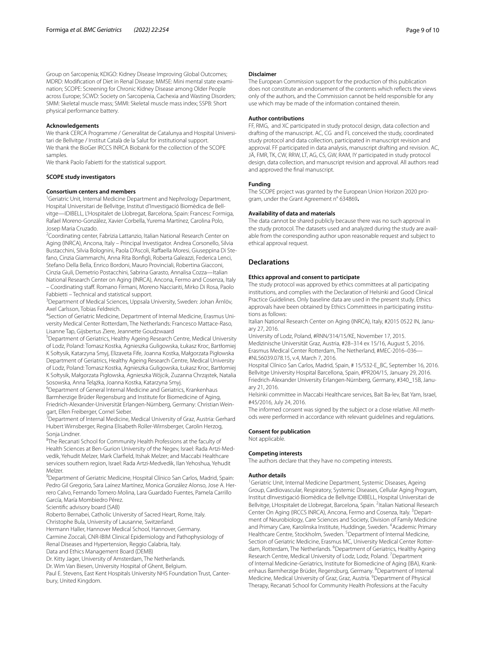Group on Sarcopenia; KDIGO: Kidney Disease Improving Global Outcomes; MDRD: Modification of Diet in Renal Disease; MMSE: Mini mental state examination; SCOPE: Screening for Chronic Kidney Disease among Older People across Europe; SCWD: Society on Sarcopenia, Cachexia and Wasting Disorders; SMM: Skeletal muscle mass; SMMI: Skeletal muscle mass index; SSPB: Short physical performance battery.

#### **Acknowledgements**

We thank CERCA Programme / Generalitat de Catalunya and Hospital Universitari de Bellvitge / Institut Català de la Salut for institutional support. We thank the BioGer IRCCS INRCA Biobank for the collection of the SCOPE samples.

We thank Paolo Fabietti for the statistical support.

#### **SCOPE study investigators**

#### **Consortium centers and members**

<sup>1</sup>Geriatric Unit, Internal Medicine Department and Nephrology Department, Hospital Universitari de Bellvitge, Institut d'Investigació Biomèdica de Bellvitge—IDIBELL, L'Hospitalet de Llobregat, Barcelona, Spain: Francesc Formiga, Rafael Moreno-González, Xavier Corbella, Yurema Martínez, Carolina Polo, Josep Maria Cruzado.

<sup>2</sup> Coordinating center, Fabrizia Lattanzio, Italian National Research Center on Aging (INRCA), Ancona, Italy – Principal Investigator. Andrea Corsonello, Silvia Bustacchini, Silvia Bolognini, Paola D'Ascoli, Raffaella Moresi, Giuseppina Di Stefano, Cinzia Giammarchi, Anna Rita Bonfgli, Roberta Galeazzi, Federica Lenci, Stefano Della Bella, Enrico Bordoni, Mauro Provinciali, Robertina Giacconi, Cinzia Giuli, Demetrio Postacchini, Sabrina Garasto, Annalisa Cozza—Italian National Research Center on Aging (INRCA), Ancona, Fermo and Cosenza, Italy – Coordinating staf. Romano Firmani, Moreno Nacciariti, Mirko Di Rosa, Paolo

Fabbietti – Technical and statistical support. <sup>3</sup>Department of Medical Sciences, Uppsala University, Sweden: Johan Ärnlöv, Axel Carlsson, Tobias Feldreich.

<sup>4</sup>Section of Geriatric Medicine, Department of Internal Medicine, Erasmus University Medical Center Rotterdam, The Netherlands: Francesco Mattace-Raso, Lisanne Tap, Gijsbertus Ziere, Jeannette Goudzwaard

5 Department of Geriatrics, Healthy Ageing Research Centre, Medical University of Lodz, Poland: Tomasz Kostka, Agnieszka Guligowska, Łukasz Kroc, Bartłomiej K Sołtysik, Katarzyna Smyj, Elizaveta Fife, Joanna Kostka, Małgorzata Pigłowska Department of Geriatrics, Healthy Ageing Research Centre, Medical University of Lodz, Poland: Tomasz Kostka, Agnieszka Guligowska, Łukasz Kroc, Bartłomiej K Sołtysik, Małgorzata Pigłowska, Agnieszka Wójcik, Zuzanna Chrząstek, Natalia Sosowska, Anna Telążka, Joanna Kostka, Katarzyna Smyj.

<sup>6</sup>Department of General Internal Medicine and Geriatrics, Krankenhaus Barmherzige Brüder Regensburg and Institute for Biomedicine of Aging, Friedrich-Alexander-Universität Erlangen-Nürnberg, Germany: Christian Weingart, Ellen Freiberger, Cornel Sieber.

<sup>7</sup> Department of Internal Medicine, Medical University of Graz, Austria: Gerhard Hubert Wirnsberger, Regina Elisabeth Roller-Wirnsberger, Carolin Herzog, Sonja Lindner.

<sup>8</sup>The Recanati School for Community Health Professions at the faculty of Health Sciences at Ben-Gurion University of the Negev, Israel: Rada Artzi-Medvedik, Yehudit Melzer, Mark Clarfeld, Itshak Melzer; and Maccabi Healthcare services southern region, Israel: Rada Artzi-Medvedik, Ilan Yehoshua, Yehudit Melzer.

<sup>9</sup>Department of Geriatric Medicine, Hospital Clínico San Carlos, Madrid, Spain: Pedro Gil Gregorio, Sara Laínez Martínez, Monica González Alonso, Jose A. Herrero Calvo, Fernando Tornero Molina, Lara Guardado Fuentes, Pamela Carrillo García, María Mombiedro Pérez.

Scientifc advisory board (SAB)

Roberto Bernabei, Catholic University of Sacred Heart, Rome, Italy.

Christophe Bula, University of Lausanne, Switzerland.

Hermann Haller, Hannover Medical School, Hannover, Germany. Carmine Zoccali, CNR-IBIM Clinical Epidemiology and Pathophysiology of Renal Diseases and Hypertension, Reggio Calabria, Italy.

Data and Ethics Management Board (DEMB)

Dr. Kitty Jager, University of Amsterdam, The Netherlands.

Dr. Wim Van Biesen, University Hospital of Ghent, Belgium.

Paul E. Stevens, East Kent Hospitals University NHS Foundation Trust, Canterbury, United Kingdom.

#### **Disclaimer**

The European Commission support for the production of this publication does not constitute an endorsement of the contents which refects the views only of the authors, and the Commission cannot be held responsible for any use which may be made of the information contained therein.

#### **Author contributions**

FF, RMG, and XC participated in study protocol design, data collection and drafting of the manuscript. AC, CG and FL conceived the study, coordinated study protocol and data collection, participated in manuscript revision and approval. FF participated in data analysis, manuscript drafting and revision. AC, JÄ, FMR, TK, CW, RRW, LT, AG, CS, GW, RAM, IY participated in study protocol design, data collection, and manuscript revision and approval. All authors read and approved the fnal manuscript.

#### **Funding**

The SCOPE project was granted by the European Union Horizon 2020 program, under the Grant Agreement n° 634869**.**

#### **Availability of data and materials**

The data cannot be shared publicly because there was no such approval in the study protocol. The datasets used and analyzed during the study are available from the corresponding author upon reasonable request and subject to ethical approval request.

#### **Declarations**

#### **Ethics approval and consent to participate**

The study protocol was approved by ethics committees at all participating institutions, and complies with the Declaration of Helsinki and Good Clinical Practice Guidelines. Only baseline data are used in the present study. Ethics approvals have been obtained by Ethics Committees in participating institutions as follows:

Italian National Research Center on Aging (INRCA), Italy, #2015 0522 IN, January 27, 2016.

University of Lodz, Poland, #RNN/314/15/KE, November 17, 2015. Medizinische Universität Graz, Austria, #28–314 ex 15/16, August 5, 2016. Erasmus Medical Center Rotterdam, The Netherland, #MEC-2016–036— #NL56039.078.15, v.4, March 7, 2016.

Hospital Clínico San Carlos, Madrid, Spain, # 15/532-E\_BC, September 16, 2016. Bellvitge University Hospital Barcellona, Spain, #PR204/15, January 29, 2016. Friedrich-Alexander University Erlangen-Nürnberg, Germany, #340\_15B, January 21, 2016.

Helsinki committee in Maccabi Healthcare services, Bait Ba-lev, Bat Yam, Israel, #45/2016, July 24, 2016.

The informed consent was signed by the subject or a close relative. All methods were performed in accordance with relevant guidelines and regulations.

## **Consent for publication**

Not applicable.

#### **Competing interests**

The authors declare that they have no competing interests.

#### **Author details**

<sup>1</sup> Geriatric Unit, Internal Medicine Department, Systemic Diseases, Ageing Group, Cardiovascular, Respiratory, Systemic Diseases, Cellular Aging Program, Institut dInvestigació Biomèdica de Bellvitge IDIBELL, Hospital Universitari de Bellvitge, LHospitalet de Llobregat, Barcelona, Spain. <sup>2</sup>Italian National Research Center On Aging (IRCCS INRCA), Ancona, Fermo and Cosenza, Italy. <sup>3</sup> Department of Neurobiology, Care Sciences and Society, Division of Family Medicine and Primary Care, Karolinska Institute, Huddinge, Sweden. <sup>4</sup> Academic Primary Healthcare Centre, Stockholm, Sweden.<sup>5</sup> Department of Internal Medicine, Section of Geriatric Medicine, Erasmus MC, University Medical Center Rotterdam, Rotterdam, The Netherlands. <sup>6</sup>Department of Geriatrics, Healthy Ageing Research Centre, Medical University of Lodz, Lodz, Poland. <sup>7</sup> Department of Internal Medicine-Geriatrics, Institute for Biomedicine of Aging (IBA), Krank‑ enhaus Barmherzige Brüder, Regensburg, Germany. <sup>8</sup>Department of Internal Medicine, Medical University of Graz, Graz, Austria. <sup>9</sup> Department of Physical Therapy, Recanati School for Community Health Professions at the Faculty